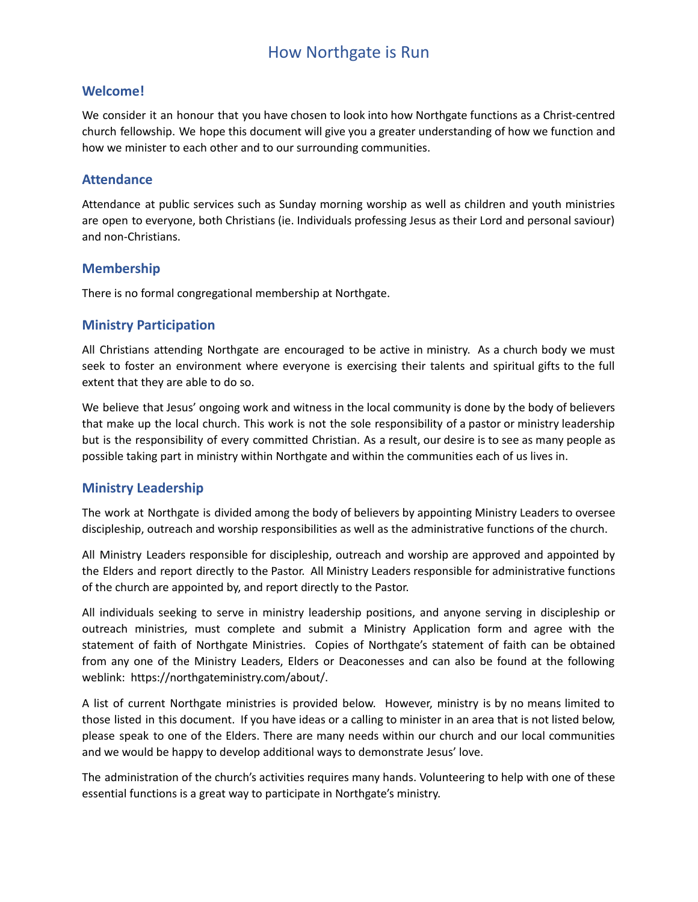# How Northgate is Run

### **Welcome!**

We consider it an honour that you have chosen to look into how Northgate functions as a Christ-centred church fellowship. We hope this document will give you a greater understanding of how we function and how we minister to each other and to our surrounding communities.

### **Attendance**

Attendance at public services such as Sunday morning worship as well as children and youth ministries are open to everyone, both Christians (ie. Individuals professing Jesus as their Lord and personal saviour) and non-Christians.

### **Membership**

There is no formal congregational membership at Northgate.

# **Ministry Participation**

All Christians attending Northgate are encouraged to be active in ministry. As a church body we must seek to foster an environment where everyone is exercising their talents and spiritual gifts to the full extent that they are able to do so.

We believe that Jesus' ongoing work and witness in the local community is done by the body of believers that make up the local church. This work is not the sole responsibility of a pastor or ministry leadership but is the responsibility of every committed Christian. As a result, our desire is to see as many people as possible taking part in ministry within Northgate and within the communities each of us lives in.

# **Ministry Leadership**

The work at Northgate is divided among the body of believers by appointing Ministry Leaders to oversee discipleship, outreach and worship responsibilities as well as the administrative functions of the church.

All Ministry Leaders responsible for discipleship, outreach and worship are approved and appointed by the Elders and report directly to the Pastor. All Ministry Leaders responsible for administrative functions of the church are appointed by, and report directly to the Pastor.

All individuals seeking to serve in ministry leadership positions, and anyone serving in discipleship or outreach ministries, must complete and submit a Ministry Application form and agree with the statement of faith of Northgate Ministries. Copies of Northgate's statement of faith can be obtained from any one of the Ministry Leaders, Elders or Deaconesses and can also be found at the following weblink: https://northgateministry.com/about/.

A list of current Northgate ministries is provided below. However, ministry is by no means limited to those listed in this document. If you have ideas or a calling to minister in an area that is not listed below, please speak to one of the Elders. There are many needs within our church and our local communities and we would be happy to develop additional ways to demonstrate Jesus' love.

The administration of the church's activities requires many hands. Volunteering to help with one of these essential functions is a great way to participate in Northgate's ministry.